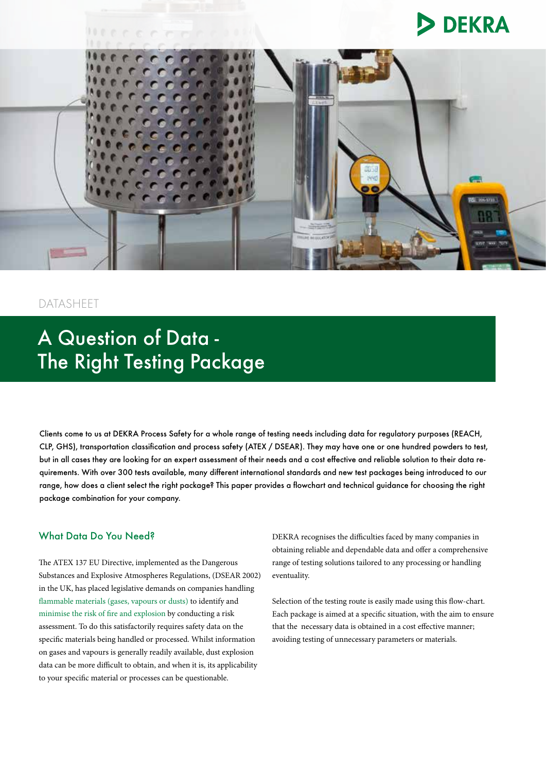# **DEKRA**



## DATASHEET

## A Question of Data - The Right Testing Package

Clients come to us at DEKRA Process Safety for a whole range of testing needs including data for regulatory purposes (REACH, CLP, GHS), transportation classification and process safety (ATEX / DSEAR). They may have one or one hundred powders to test, but in all cases they are looking for an expert assessment of their needs and a cost effective and reliable solution to their data requirements. With over 300 tests available, many different international standards and new test packages being introduced to our range, how does a client select the right package? This paper provides a flowchart and technical guidance for choosing the right package combination for your company.

#### What Data Do You Need?

The ATEX 137 EU Directive, implemented as the Dangerous Substances and Explosive Atmospheres Regulations, (DSEAR 2002) in the UK, has placed legislative demands on companies handling [flammable materials \(gases, vapours or dusts\)](http://www.dekra-process-safety.co.uk/process-safety-consulting/flammable-liquids-and-gases) to identify and [minimise the risk of fire and explosion](http://www.dekra-process-safety.co.uk/process-safety-consulting/dust-fire-and-explosion-hazards) by conducting a risk assessment. To do this satisfactorily requires safety data on the specific materials being handled or processed. Whilst information on gases and vapours is generally readily available, dust explosion data can be more difficult to obtain, and when it is, its applicability to your specific material or processes can be questionable.

DEKRA recognises the difficulties faced by many companies in obtaining reliable and dependable data and offer a comprehensive range of testing solutions tailored to any processing or handling eventuality.

Selection of the testing route is easily made using this flow-chart. Each package is aimed at a specific situation, with the aim to ensure that the necessary data is obtained in a cost effective manner; avoiding testing of unnecessary parameters or materials.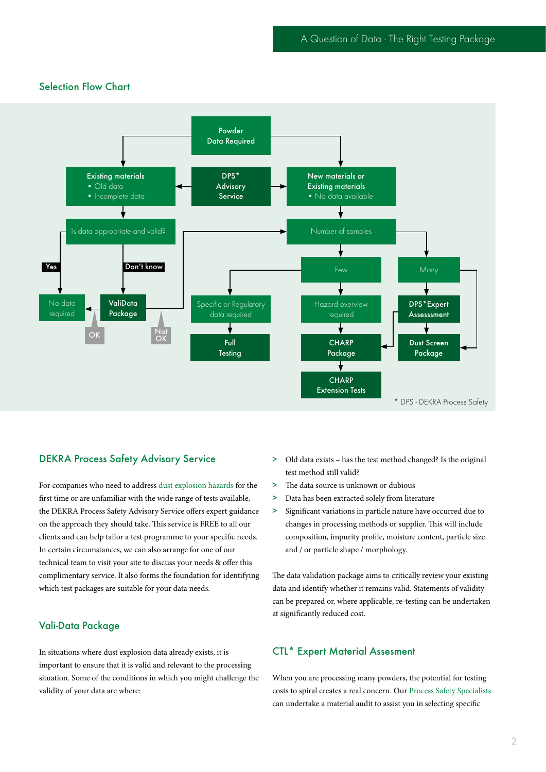## Selection Flow Chart



#### DEKRA Process Safety Advisory Service

For companies who need to address [dust explosion hazards](http://www.dekra-process-safety.co.uk/process-safety-consulting/dust-fire-and-explosion-hazards) for the first time or are unfamiliar with the wide range of tests available, the DEKRA Process Safety Advisory Service offers expert guidance on the approach they should take. This service is FREE to all our clients and can help tailor a test programme to your specific needs. In certain circumstances, we can also arrange for one of our technical team to visit your site to discuss your needs & offer this complimentary service. It also forms the foundation for identifying which test packages are suitable for your data needs.

#### Vali-Data Package

In situations where dust explosion data already exists, it is important to ensure that it is valid and relevant to the processing situation. Some of the conditions in which you might challenge the validity of your data are where:

- > Old data exists has the test method changed? Is the original test method still valid?
- > The data source is unknown or dubious
- > Data has been extracted solely from literature
- > Significant variations in particle nature have occurred due to changes in processing methods or supplier. This will include composition, impurity profile, moisture content, particle size and / or particle shape / morphology.

The data validation package aims to critically review your existing data and identify whether it remains valid. Statements of validity can be prepared or, where applicable, re-testing can be undertaken at significantly reduced cost.

#### CTL\* Expert Material Assesment

When you are processing many powders, the potential for testing costs to spiral creates a real concern. Our [Process Safety Specialists](http://www.dekra-process-safety.co.uk/process-safety-academy) can undertake a material audit to assist you in selecting specific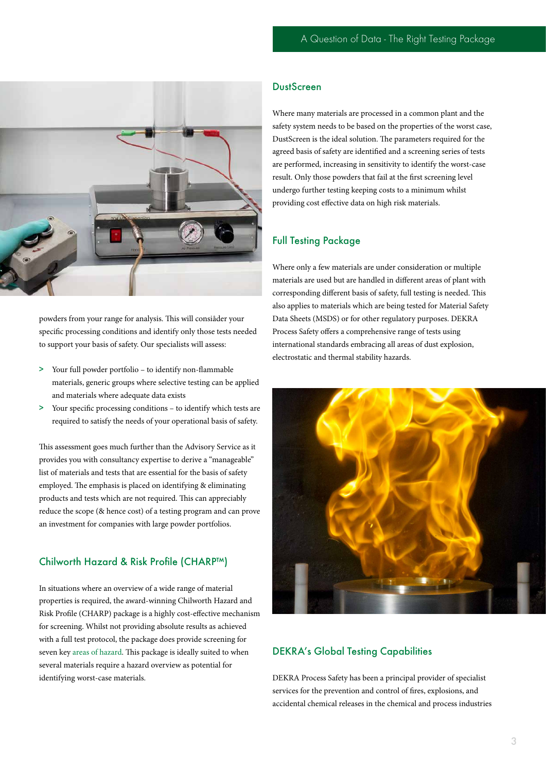

powders from your range for analysis. This will consiåder your specific processing conditions and identify only those tests needed to support your basis of safety. Our specialists will assess:

- > Your full powder portfolio to identify non-flammable materials, generic groups where selective testing can be applied and materials where adequate data exists
- > Your specific processing conditions to identify which tests are required to satisfy the needs of your operational basis of safety.

This assessment goes much further than the Advisory Service as it provides you with consultancy expertise to derive a "manageable" list of materials and tests that are essential for the basis of safety employed. The emphasis is placed on identifying & eliminating products and tests which are not required. This can appreciably reduce the scope (& hence cost) of a testing program and can prove an investment for companies with large powder portfolios.

## Chilworth Hazard & Risk Profile (CHARP™)

In situations where an overview of a wide range of material properties is required, the award-winning Chilworth Hazard and Risk Profile (CHARP) package is a highly cost-effective mechanism for screening. Whilst not providing absolute results as achieved with a full test protocol, the package does provide screening for seven key [areas of hazard.](http://www.dekra-process-safety.co.uk/process-safety-consulting/hazardous-area-classification) This package is ideally suited to when several materials require a hazard overview as potential for identifying worst-case materials.

## **DustScreen**

Where many materials are processed in a common plant and the safety system needs to be based on the properties of the worst case, DustScreen is the ideal solution. The parameters required for the agreed basis of safety are identified and a screening series of tests are performed, increasing in sensitivity to identify the worst-case result. Only those powders that fail at the first screening level undergo further testing keeping costs to a minimum whilst providing cost effective data on high risk materials.

#### Full Testing Package

Where only a few materials are under consideration or multiple materials are used but are handled in different areas of plant with corresponding different basis of safety, full testing is needed. This also applies to materials which are being tested for Material Safety Data Sheets (MSDS) or for other regulatory purposes. DEKRA Process Safety offers a comprehensive range of tests using international standards embracing all areas of dust explosion, electrostatic and thermal stability hazards.



## DEKRA's Global Testing Capabilities

DEKRA Process Safety has been a principal provider of specialist services for the prevention and control of fires, explosions, and accidental chemical releases in the chemical and process industries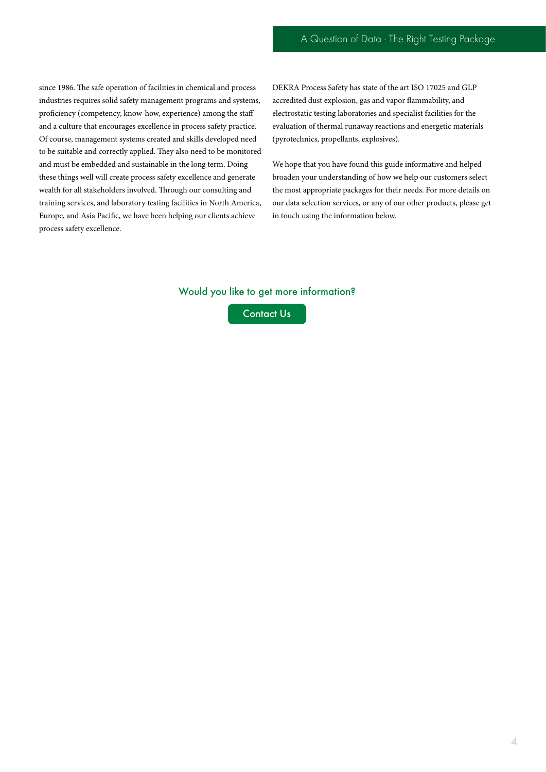since 1986. The safe operation of facilities in chemical and process industries requires solid safety management programs and systems, proficiency (competency, know-how, experience) among the staff and a culture that encourages excellence in process safety practice. Of course, management systems created and skills developed need to be suitable and correctly applied. They also need to be monitored and must be embedded and sustainable in the long term. Doing these things well will create process safety excellence and generate wealth for all stakeholders involved. Through our consulting and training services, and laboratory testing facilities in North America, Europe, and Asia Pacific, we have been helping our clients achieve process safety excellence.

DEKRA Process Safety has state of the art ISO 17025 and GLP accredited dust explosion, gas and vapor flammability, and electrostatic testing laboratories and specialist facilities for the evaluation of thermal runaway reactions and energetic materials (pyrotechnics, propellants, explosives).

We hope that you have found this guide informative and helped broaden your understanding of how we help our customers select the most appropriate packages for their needs. For more details on our data selection services, or any of our other products, please get in touch using the information below.

#### Would you like to get more information?

[Contact Us](http://www.dekra-process-safety.co.uk/contact)